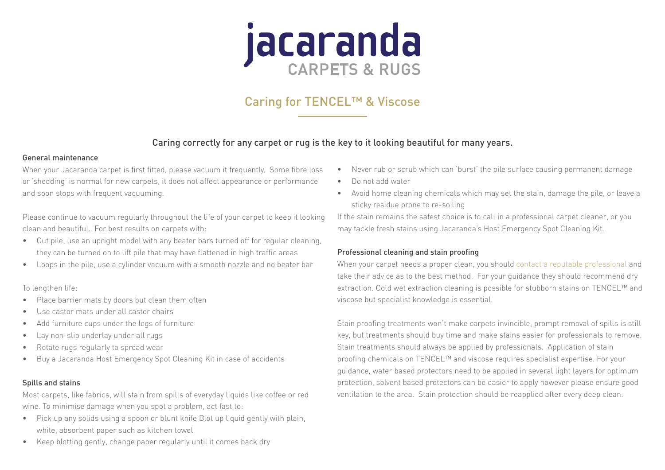# jacaranda

# Caring for TENCEL™ & Viscose

# Caring correctly for any carpet or rug is the key to it looking beautiful for many years.

#### General maintenance

When your Jacaranda carpet is first fitted, please vacuum it frequently. Some fibre loss or 'shedding' is normal for new carpets, it does not affect appearance or performance and soon stops with frequent vacuuming.

Please continue to vacuum regularly throughout the life of your carpet to keep it looking clean and beautiful. For best results on carpets with:

- Cut pile, use an upright model with any beater bars turned off for regular cleaning, they can be turned on to lift pile that may have flattened in high traffic areas
- Loops in the pile, use a cylinder vacuum with a smooth nozzle and no beater bar

## To lengthen life:

- Place barrier mats by doors but clean them often
- Use castor mats under all castor chairs
- Add furniture cups under the legs of furniture
- Lay non-slip underlay under all rugs
- Rotate rugs regularly to spread wear
- Buy a Jacaranda Host Emergency Spot Cleaning Kit in case of accidents

# Spills and stains

Most carpets, like fabrics, will stain from spills of everyday liquids like coffee or red wine. To minimise damage when you spot a problem, act fast to:

- Pick up any solids using a spoon or blunt knife Blot up liquid gently with plain, white, absorbent paper such as kitchen towel
- Keep blotting gently, change paper regularly until it comes back dry
- Never rub or scrub which can 'burst' the pile surface causing permanent damage
- Do not add water
- Avoid home cleaning chemicals which may set the stain, damage the pile, or leave a sticky residue prone to re-soiling

If the stain remains the safest choice is to call in a professional carpet cleaner, or you may tackle fresh stains using Jacaranda's Host Emergency Spot Cleaning Kit.

# Professional cleaning and stain proofing

When your carpet needs a proper clean, you should [contact a reputable professional](https://www.jacarandacarpets.com/en/fitting-care/cleaning-partners/) and take their advice as to the best method. For your guidance they should recommend dry extraction. Cold wet extraction cleaning is possible for stubborn stains on TENCEL™ and viscose but specialist knowledge is essential.

Stain proofing treatments won't make carpets invincible, prompt removal of spills is still key, but treatments should buy time and make stains easier for professionals to remove. Stain treatments should always be applied by professionals. Application of stain proofing chemicals on TENCEL™ and viscose requires specialist expertise. For your guidance, water based protectors need to be applied in several light layers for optimum protection, solvent based protectors can be easier to apply however please ensure good ventilation to the area. Stain protection should be reapplied after every deep clean.